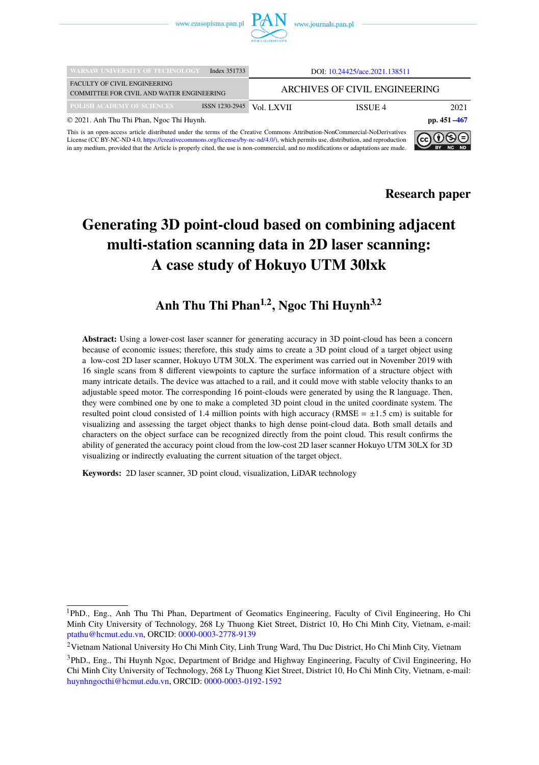

| <b>WARSAW UNIVERSITY OF TECHNOLOGY</b>                                                                                                                                                                                                                         | Index 351733    | DOI: 10.24425/ace.2021.138511 |         |      |
|----------------------------------------------------------------------------------------------------------------------------------------------------------------------------------------------------------------------------------------------------------------|-----------------|-------------------------------|---------|------|
| <b>FACULTY OF CIVIL ENGINEERING</b><br>COMMITTEE FOR CIVIL AND WATER ENGINEERING                                                                                                                                                                               |                 | ARCHIVES OF CIVIL ENGINEERING |         |      |
| POLISH ACADEMY OF SCIENCES                                                                                                                                                                                                                                     | ISSN 1230-2945  | Vol. LXVII                    | ISSUE 4 | 2021 |
| © 2021. Anh Thu Thi Phan, Ngoc Thi Huynh.                                                                                                                                                                                                                      | pp. $451 - 467$ |                               |         |      |
| This is an open-access article distributed under the terms of the Creative Commons Attribution-NonCommercial-NoDerivatives<br>License (CC BY-NC-ND 4.0, https://creativecommons.org/licenses/by-nc-nd/4.0/), which permits use, distribution, and reproduction | ∣⊚⊕⊕            |                               |         |      |

This is an open-access article distributed under the terms of the Creative Commons Attribution-NonCommercial-NoDerivatives<br>License (CC BY-NC-ND 4.0, [https://creativecommons.org/licenses/by-nc-nd/4.0/\)](https://creativecommons.org/licenses/by-nc-nd/4.0/), which permits use, d in any medium, provided that the Article is properly cited, the use is non-commercial, and no modifications or adaptations are made.



**Research paper**

# **Generating 3D point-cloud based on combining adjacent multi-station scanning data in 2D laser scanning: A case study of Hokuyo UTM 30lxk**

# **Anh Thu Thi Phan1**,**<sup>2</sup> , Ngoc Thi Huynh3**,**<sup>2</sup>**

**Abstract:** Using a lower-cost laser scanner for generating accuracy in 3D point-cloud has been a concern because of economic issues; therefore, this study aims to create a 3D point cloud of a target object using a low-cost 2D laser scanner, Hokuyo UTM 30LX. The experiment was carried out in November 2019 with 16 single scans from 8 different viewpoints to capture the surface information of a structure object with many intricate details. The device was attached to a rail, and it could move with stable velocity thanks to an adjustable speed motor. The corresponding 16 point-clouds were generated by using the R language. Then, they were combined one by one to make a completed 3D point cloud in the united coordinate system. The resulted point cloud consisted of 1.4 million points with high accuracy (RMSE =  $\pm$ 1.5 cm) is suitable for visualizing and assessing the target object thanks to high dense point-cloud data. Both small details and characters on the object surface can be recognized directly from the point cloud. This result confirms the ability of generated the accuracy point cloud from the low-cost 2D laser scanner Hokuyo UTM 30LX for 3D visualizing or indirectly evaluating the current situation of the target object.

**Keywords:** 2D laser scanner, 3D point cloud, visualization, LiDAR technology

<sup>1</sup>PhD., Eng., Anh Thu Thi Phan, Department of Geomatics Engineering, Faculty of Civil Engineering, Ho Chi Minh City University of Technology, 268 Ly Thuong Kiet Street, District 10, Ho Chi Minh City, Vietnam, e-mail: [ptathu@hcmut.edu.vn,](mailto:ptathu@hcmut.edu.vn) ORCID: [0000-0003-2778-9139](https://orcid.org/0000-0003-2778-9139)

<sup>2</sup>Vietnam National University Ho Chi Minh City, Linh Trung Ward, Thu Duc District, Ho Chi Minh City, Vietnam

<sup>3</sup>PhD., Eng., Thi Huynh Ngoc, Department of Bridge and Highway Engineering, Faculty of Civil Engineering, Ho Chi Minh City University of Technology, 268 Ly Thuong Kiet Street, District 10, Ho Chi Minh City, Vietnam, e-mail: [huynhngocthi@hcmut.edu.vn,](mailto:huynhngocthi@hcmut.edu.vn) ORCID: [0000-0003-0192-1592](https://orcid.org/0000-0003-0192-1592)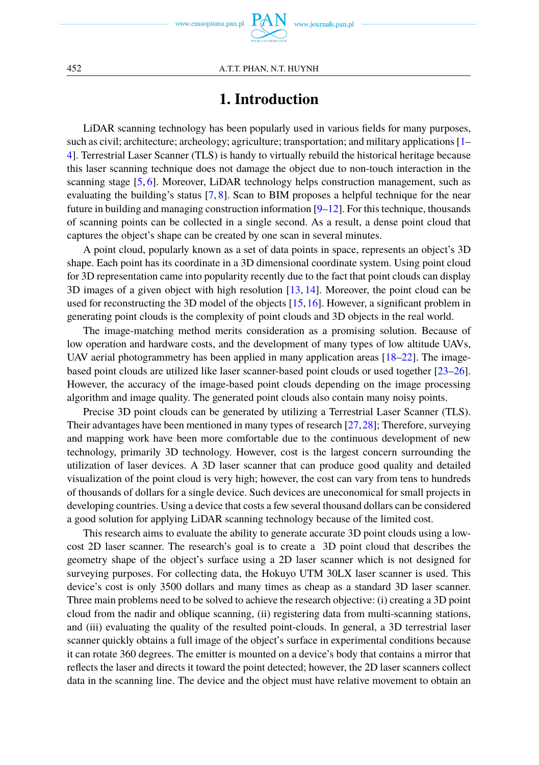# **1. Introduction**

LiDAR scanning technology has been popularly used in various fields for many purposes, such as civil; architecture; archeology; agriculture; transportation; and military applications [\[1–](#page-14-1) [4\]](#page-14-2). Terrestrial Laser Scanner (TLS) is handy to virtually rebuild the historical heritage because this laser scanning technique does not damage the object due to non-touch interaction in the scanning stage [\[5,](#page-15-0) [6\]](#page-15-1). Moreover, LiDAR technology helps construction management, such as evaluating the building's status  $[7, 8]$  $[7, 8]$  $[7, 8]$ . Scan to BIM proposes a helpful technique for the near future in building and managing construction information  $[9-12]$  $[9-12]$ . For this technique, thousands of scanning points can be collected in a single second. As a result, a dense point cloud that captures the object's shape can be created by one scan in several minutes.

A point cloud, popularly known as a set of data points in space, represents an object's 3D shape. Each point has its coordinate in a 3D dimensional coordinate system. Using point cloud for 3D representation came into popularity recently due to the fact that point clouds can display 3D images of a given object with high resolution [\[13,](#page-15-6) [14\]](#page-15-7). Moreover, the point cloud can be used for reconstructing the 3D model of the objects [\[15,](#page-15-8)[16\]](#page-15-9). However, a significant problem in generating point clouds is the complexity of point clouds and 3D objects in the real world.

The image-matching method merits consideration as a promising solution. Because of low operation and hardware costs, and the development of many types of low altitude UAVs, UAV aerial photogrammetry has been applied in many application areas  $[18–22]$  $[18–22]$ . The imagebased point clouds are utilized like laser scanner-based point clouds or used together [\[23](#page-15-12)[–26\]](#page-16-0). However, the accuracy of the image-based point clouds depending on the image processing algorithm and image quality. The generated point clouds also contain many noisy points.

Precise 3D point clouds can be generated by utilizing a Terrestrial Laser Scanner (TLS). Their advantages have been mentioned in many types of research [\[27,](#page-16-1)[28\]](#page-16-2); Therefore, surveying and mapping work have been more comfortable due to the continuous development of new technology, primarily 3D technology. However, cost is the largest concern surrounding the utilization of laser devices. A 3D laser scanner that can produce good quality and detailed visualization of the point cloud is very high; however, the cost can vary from tens to hundreds of thousands of dollars for a single device. Such devices are uneconomical for small projects in developing countries. Using a device that costs a few several thousand dollars can be considered a good solution for applying LiDAR scanning technology because of the limited cost.

This research aims to evaluate the ability to generate accurate 3D point clouds using a lowcost 2D laser scanner. The research's goal is to create a 3D point cloud that describes the geometry shape of the object's surface using a 2D laser scanner which is not designed for surveying purposes. For collecting data, the Hokuyo UTM 30LX laser scanner is used. This device's cost is only 3500 dollars and many times as cheap as a standard 3D laser scanner. Three main problems need to be solved to achieve the research objective: (i) creating a 3D point cloud from the nadir and oblique scanning, (ii) registering data from multi-scanning stations, and (iii) evaluating the quality of the resulted point-clouds. In general, a 3D terrestrial laser scanner quickly obtains a full image of the object's surface in experimental conditions because it can rotate 360 degrees. The emitter is mounted on a device's body that contains a mirror that reflects the laser and directs it toward the point detected; however, the 2D laser scanners collect data in the scanning line. The device and the object must have relative movement to obtain an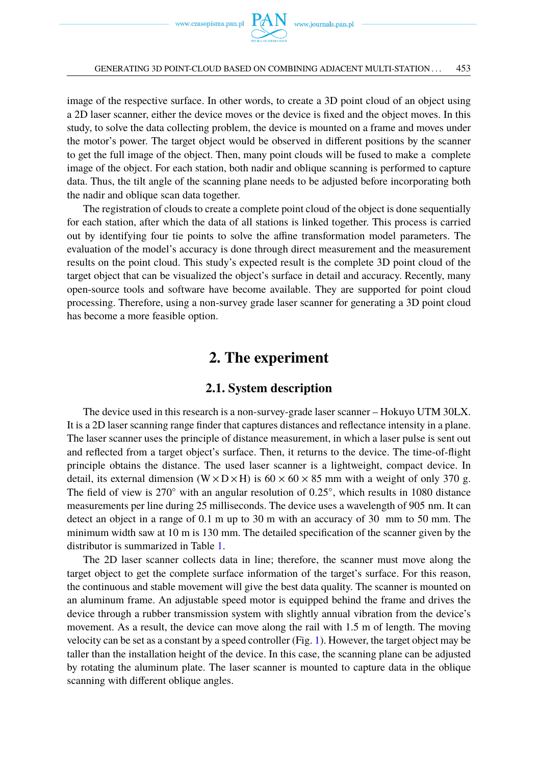

image of the respective surface. In other words, to create a 3D point cloud of an object using a 2D laser scanner, either the device moves or the device is fixed and the object moves. In this study, to solve the data collecting problem, the device is mounted on a frame and moves under the motor's power. The target object would be observed in different positions by the scanner to get the full image of the object. Then, many point clouds will be fused to make a complete image of the object. For each station, both nadir and oblique scanning is performed to capture data. Thus, the tilt angle of the scanning plane needs to be adjusted before incorporating both the nadir and oblique scan data together.

The registration of clouds to create a complete point cloud of the object is done sequentially for each station, after which the data of all stations is linked together. This process is carried out by identifying four tie points to solve the affine transformation model parameters. The evaluation of the model's accuracy is done through direct measurement and the measurement results on the point cloud. This study's expected result is the complete 3D point cloud of the target object that can be visualized the object's surface in detail and accuracy. Recently, many open-source tools and software have become available. They are supported for point cloud processing. Therefore, using a non-survey grade laser scanner for generating a 3D point cloud has become a more feasible option.

## **2. The experiment**

### **2.1. System description**

The device used in this research is a non-survey-grade laser scanner – Hokuyo UTM 30LX. It is a 2D laser scanning range finder that captures distances and reflectance intensity in a plane. The laser scanner uses the principle of distance measurement, in which a laser pulse is sent out and reflected from a target object's surface. Then, it returns to the device. The time-of-flight principle obtains the distance. The used laser scanner is a lightweight, compact device. In detail, its external dimension (W  $\times$  D  $\times$  H) is 60  $\times$  60  $\times$  85 mm with a weight of only 370 g. The field of view is  $270°$  with an angular resolution of  $0.25°$ , which results in 1080 distance<br>measurements per line during 25 milliseconds. The device uses a wavelength of  $905$  pm. It can measurements per line during 25 milliseconds. The device uses a wavelength of 905 nm. It can detect an object in a range of 0.1 m up to 30 m with an accuracy of 30 mm to 50 mm. The minimum width saw at 10 m is 130 mm. The detailed specification of the scanner given by the distributor is summarized in Table [1.](#page-3-0)

The 2D laser scanner collects data in line; therefore, the scanner must move along the target object to get the complete surface information of the target's surface. For this reason, the continuous and stable movement will give the best data quality. The scanner is mounted on an aluminum frame. An adjustable speed motor is equipped behind the frame and drives the device through a rubber transmission system with slightly annual vibration from the device's movement. As a result, the device can move along the rail with 1.5 m of length. The moving velocity can be set as a constant by a speed controller (Fig. [1\)](#page-3-1). However, the target object may be taller than the installation height of the device. In this case, the scanning plane can be adjusted by rotating the aluminum plate. The laser scanner is mounted to capture data in the oblique scanning with different oblique angles.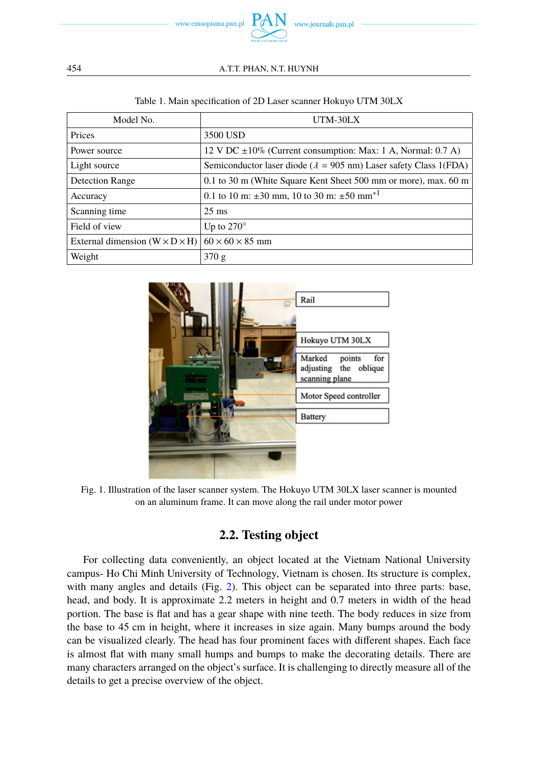

| Model No.                                  | UTM-30LX                                                                  |  |  |
|--------------------------------------------|---------------------------------------------------------------------------|--|--|
| Prices                                     | 3500 USD                                                                  |  |  |
| Power source                               | 12 V DC $\pm 10\%$ (Current consumption: Max: 1 A, Normal: 0.7 A)         |  |  |
| Light source                               | Semiconductor laser diode ( $\lambda = 905$ nm) Laser safety Class 1(FDA) |  |  |
| <b>Detection Range</b>                     | 0.1 to 30 m (White Square Kent Sheet 500 mm or more), max. 60 m           |  |  |
| Accuracy                                   | 0.1 to 10 m: $\pm 30$ mm, 10 to 30 m: $\pm 50$ mm <sup>*1</sup>           |  |  |
| Scanning time                              | $25 \text{ ms}$                                                           |  |  |
| Field of view                              | Up to $270^\circ$                                                         |  |  |
| External dimension $(W \times D \times H)$ | $60 \times 60 \times 85$ mm                                               |  |  |
| Weight                                     | 370 g                                                                     |  |  |

#### Table 1. Main specification of 2D Laser scanner Hokuyo UTM 30LX

<span id="page-3-1"></span>

Fig. 1. Illustration of the laser scanner system. The Hokuyo UTM 30LX laser scanner is mounted on an aluminum frame. It can move along the rail under motor power

## **2.2. Testing object**

For collecting data conveniently, an object located at the Vietnam National University campus- Ho Chi Minh University of Technology, Vietnam is chosen. Its structure is complex, with many angles and details (Fig. [2\)](#page-4-0). This object can be separated into three parts: base, head, and body. It is approximate 2.2 meters in height and 0.7 meters in width of the head portion. The base is flat and has a gear shape with nine teeth. The body reduces in size from the base to 45 cm in height, where it increases in size again. Many bumps around the body can be visualized clearly. The head has four prominent faces with different shapes. Each face is almost flat with many small humps and bumps to make the decorating details. There are many characters arranged on the object's surface. It is challenging to directly measure all of the details to get a precise overview of the object.

<span id="page-3-0"></span>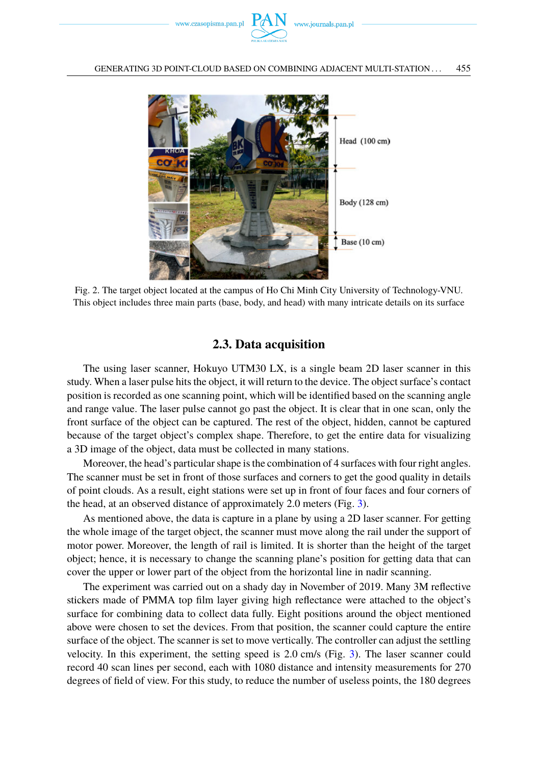

<span id="page-4-0"></span>

Fig. 2. The target object located at the campus of Ho Chi Minh City University of Technology-VNU. This object includes three main parts (base, body, and head) with many intricate details on its surface

### **2.3. Data acquisition**

The using laser scanner, Hokuyo UTM30 LX, is a single beam 2D laser scanner in this study. When a laser pulse hits the object, it will return to the device. The object surface's contact position is recorded as one scanning point, which will be identified based on the scanning angle and range value. The laser pulse cannot go past the object. It is clear that in one scan, only the front surface of the object can be captured. The rest of the object, hidden, cannot be captured because of the target object's complex shape. Therefore, to get the entire data for visualizing a 3D image of the object, data must be collected in many stations.

Moreover, the head's particular shape is the combination of 4 surfaces with four right angles. The scanner must be set in front of those surfaces and corners to get the good quality in details of point clouds. As a result, eight stations were set up in front of four faces and four corners of the head, at an observed distance of approximately 2.0 meters (Fig. [3\)](#page-5-0).

As mentioned above, the data is capture in a plane by using a 2D laser scanner. For getting the whole image of the target object, the scanner must move along the rail under the support of motor power. Moreover, the length of rail is limited. It is shorter than the height of the target object; hence, it is necessary to change the scanning plane's position for getting data that can cover the upper or lower part of the object from the horizontal line in nadir scanning.

The experiment was carried out on a shady day in November of 2019. Many 3M reflective stickers made of PMMA top film layer giving high reflectance were attached to the object's surface for combining data to collect data fully. Eight positions around the object mentioned above were chosen to set the devices. From that position, the scanner could capture the entire surface of the object. The scanner is set to move vertically. The controller can adjust the settling velocity. In this experiment, the setting speed is 2.0 cm/s (Fig. [3\)](#page-5-0). The laser scanner could record 40 scan lines per second, each with 1080 distance and intensity measurements for 270 degrees of field of view. For this study, to reduce the number of useless points, the 180 degrees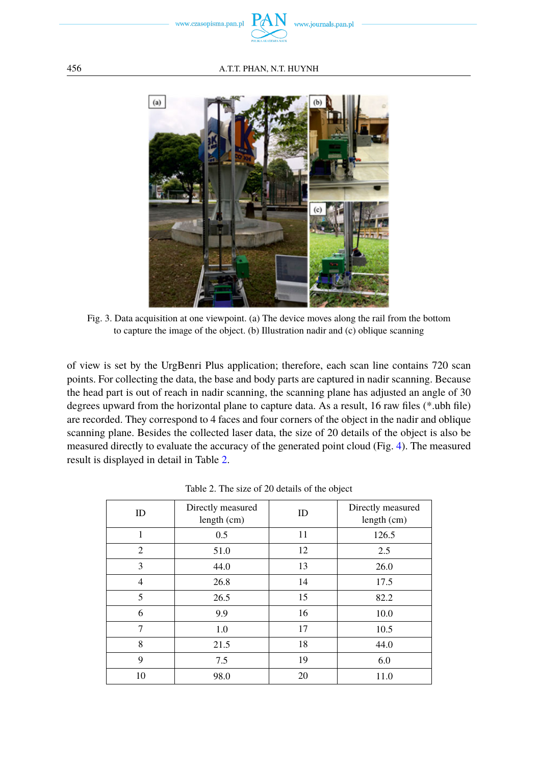

<span id="page-5-0"></span>

Fig. 3. Data acquisition at one viewpoint. (a) The device moves along the rail from the bottom to capture the image of the object. (b) Illustration nadir and (c) oblique scanning

of view is set by the UrgBenri Plus application; therefore, each scan line contains 720 scan points. For collecting the data, the base and body parts are captured in nadir scanning. Because the head part is out of reach in nadir scanning, the scanning plane has adjusted an angle of 30 degrees upward from the horizontal plane to capture data. As a result, 16 raw files (\*.ubh file) are recorded. They correspond to 4 faces and four corners of the object in the nadir and oblique scanning plane. Besides the collected laser data, the size of 20 details of the object is also be measured directly to evaluate the accuracy of the generated point cloud (Fig. [4\)](#page-6-0). The measured result is displayed in detail in Table [2.](#page-5-1)

<span id="page-5-1"></span>

| ID             | Directly measured<br>length (cm) | ID | Directly measured<br>length $(cm)$ |
|----------------|----------------------------------|----|------------------------------------|
| 1              | 0.5                              | 11 | 126.5                              |
| 2              | 51.0                             | 12 | 2.5                                |
| 3              | 44.0                             | 13 | 26.0                               |
| $\overline{4}$ | 26.8                             | 14 | 17.5                               |
| 5              | 26.5                             | 15 | 82.2                               |
| 6              | 9.9                              | 16 | 10.0                               |
| 7              | 1.0                              | 17 | 10.5                               |
| 8              | 21.5                             | 18 | 44.0                               |
| 9              | 7.5                              | 19 | 6.0                                |
| 10             | 98.0                             | 20 | 11.0                               |

Table 2. The size of 20 details of the object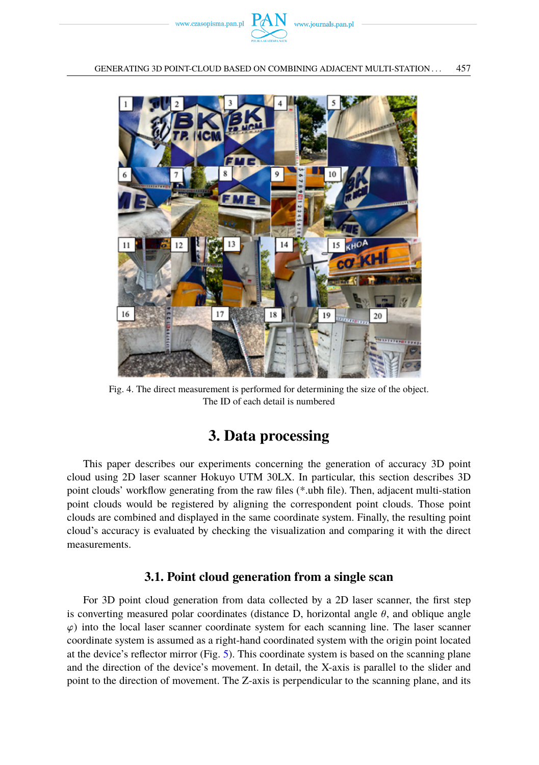

<span id="page-6-0"></span>

Fig. 4. The direct measurement is performed for determining the size of the object. The ID of each detail is numbered

# **3. Data processing**

This paper describes our experiments concerning the generation of accuracy 3D point cloud using 2D laser scanner Hokuyo UTM 30LX. In particular, this section describes 3D point clouds' workflow generating from the raw files (\*.ubh file). Then, adjacent multi-station point clouds would be registered by aligning the correspondent point clouds. Those point clouds are combined and displayed in the same coordinate system. Finally, the resulting point cloud's accuracy is evaluated by checking the visualization and comparing it with the direct measurements.

## **3.1. Point cloud generation from a single scan**

For 3D point cloud generation from data collected by a 2D laser scanner, the first step is converting measured polar coordinates (distance D, horizontal angle  $\theta$ , and oblique angle  $\varphi$ ) into the local laser scanner coordinate system for each scanning line. The laser scanner coordinate system is assumed as a right-hand coordinated system with the origin point located at the device's reflector mirror (Fig. [5\)](#page-7-0). This coordinate system is based on the scanning plane and the direction of the device's movement. In detail, the X-axis is parallel to the slider and point to the direction of movement. The Z-axis is perpendicular to the scanning plane, and its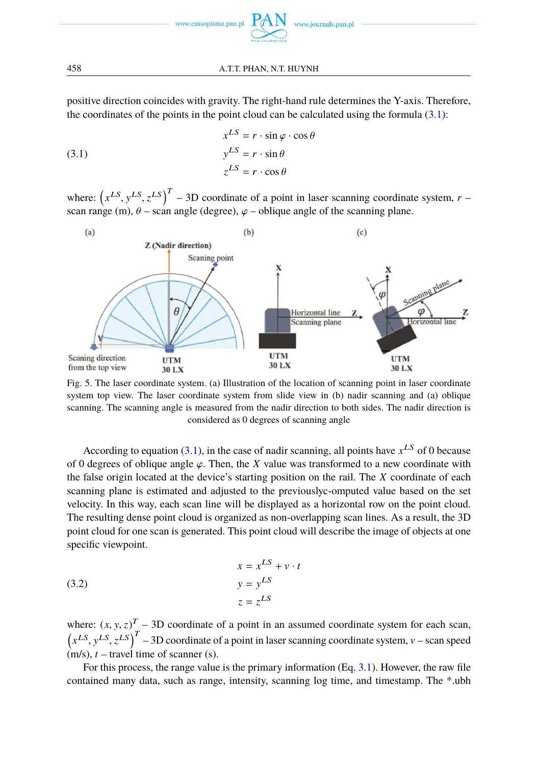positive direction coincides with gravity. The right-hand rule determines the Y-axis. Therefore, the coordinates of the points in the point cloud can be calculated using the formula  $(3.1)$ :

<span id="page-7-1"></span>(3.1)  
\n
$$
x^{LS} = r \cdot \sin \varphi \cdot \cos \theta
$$
\n
$$
y^{LS} = r \cdot \sin \theta
$$
\n
$$
z^{LS} = r \cdot \cos \theta
$$

where:  $(x^{LS}, y^{LS}, z^{LS})^T - 3D$  coordinate of a point in laser scanning coordinate system, *r* – scan range (m),  $\theta$  – scan angle (degree),  $\varphi$  – oblique angle of the scanning plane.

<span id="page-7-0"></span>

Fig. 5. The laser coordinate system. (a) Illustration of the location of scanning point in laser coordinate system top view. The laser coordinate system from slide view in (b) nadir scanning and (a) oblique scanning. The scanning angle is measured from the nadir direction to both sides. The nadir direction is considered as 0 degrees of scanning angle

According to equation  $(3.1)$ , in the case of nadir scanning, all points have  $x^{LS}$  of 0 because of 0 degrees of oblique angle  $\varphi$ . Then, the *X* value was transformed to a new coordinate with the false origin located at the device's starting position on the rail. The *X* coordinate of each scanning plane is estimated and adjusted to the previouslyc-omputed value based on the set velocity. In this way, each scan line will be displayed as a horizontal row on the point cloud. The resulting dense point cloud is organized as non-overlapping scan lines. As a result, the 3D point cloud for one scan is generated. This point cloud will describe the image of objects at one specific viewpoint.

(3.2) 
$$
x = x^{LS} + v \cdot t
$$

$$
y = y^{LS}
$$

$$
z = z^{LS}
$$

where:  $(x, y, z)^T - 3D$  coordinate of a point in an assumed coordinate system for each scan,<br>  $(x^{LS}, y^{LS}, z^{LS})^T - 3D$  coordinate of a point in laser scanning coordinate system,  $v$  – scan speed<br>  $f(x|z) + f(x|z)$  travel time of sca  $T - 3D$  coordinate of a point in an assumed coordinate system for each scan,  $(m/s), t$  – travel time of scanner (s).

For this process, the range value is the primary information (Eq. [3.1\)](#page-7-1). However, the raw file contained many data, such as range, intensity, scanning log time, and timestamp. The \*.ubh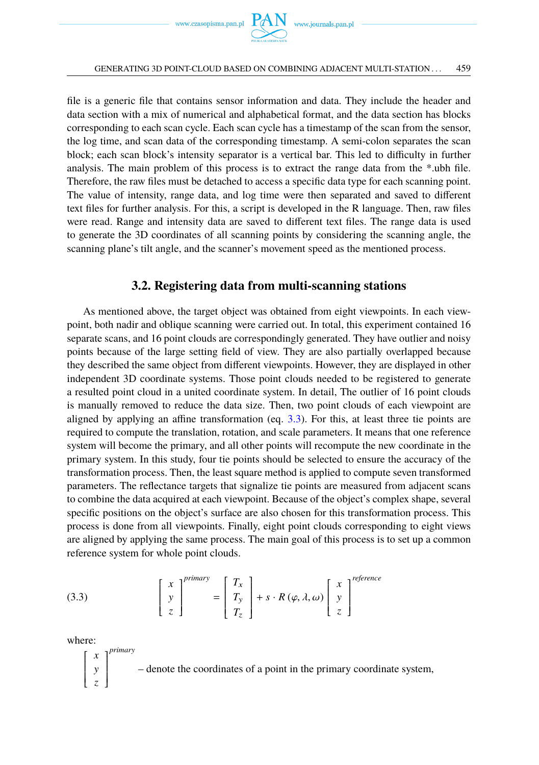file is a generic file that contains sensor information and data. They include the header and data section with a mix of numerical and alphabetical format, and the data section has blocks corresponding to each scan cycle. Each scan cycle has a timestamp of the scan from the sensor, the log time, and scan data of the corresponding timestamp. A semi-colon separates the scan block; each scan block's intensity separator is a vertical bar. This led to difficulty in further analysis. The main problem of this process is to extract the range data from the \*.ubh file. Therefore, the raw files must be detached to access a specific data type for each scanning point. The value of intensity, range data, and log time were then separated and saved to different text files for further analysis. For this, a script is developed in the R language. Then, raw files were read. Range and intensity data are saved to different text files. The range data is used to generate the 3D coordinates of all scanning points by considering the scanning angle, the scanning plane's tilt angle, and the scanner's movement speed as the mentioned process.

### **3.2. Registering data from multi-scanning stations**

As mentioned above, the target object was obtained from eight viewpoints. In each viewpoint, both nadir and oblique scanning were carried out. In total, this experiment contained 16 separate scans, and 16 point clouds are correspondingly generated. They have outlier and noisy points because of the large setting field of view. They are also partially overlapped because they described the same object from different viewpoints. However, they are displayed in other independent 3D coordinate systems. Those point clouds needed to be registered to generate a resulted point cloud in a united coordinate system. In detail, The outlier of 16 point clouds is manually removed to reduce the data size. Then, two point clouds of each viewpoint are aligned by applying an affine transformation (eq. [3.3\)](#page-8-0). For this, at least three tie points are required to compute the translation, rotation, and scale parameters. It means that one reference system will become the primary, and all other points will recompute the new coordinate in the primary system. In this study, four tie points should be selected to ensure the accuracy of the transformation process. Then, the least square method is applied to compute seven transformed parameters. The reflectance targets that signalize tie points are measured from adjacent scans to combine the data acquired at each viewpoint. Because of the object's complex shape, several specific positions on the object's surface are also chosen for this transformation process. This process is done from all viewpoints. Finally, eight point clouds corresponding to eight views are aligned by applying the same process. The main goal of this process is to set up a common reference system for whole point clouds.

<span id="page-8-0"></span>(3.3) 
$$
\begin{bmatrix} x \\ y \\ z \end{bmatrix}^{primary} = \begin{bmatrix} T_x \\ T_y \\ T_z \end{bmatrix} + s \cdot R(\varphi, \lambda, \omega) \begin{bmatrix} x \\ y \\ z \end{bmatrix}^{reference}
$$

where:

r ſ I I ł I L *x* y *z*  $\overline{1}$ 1  $\overline{\phantom{a}}$  $\overline{\phantom{a}}$  $\overline{\phantom{a}}$  $\overline{\phantom{a}}$ J *primary* – denote the coordinates of a point in the primary coordinate system,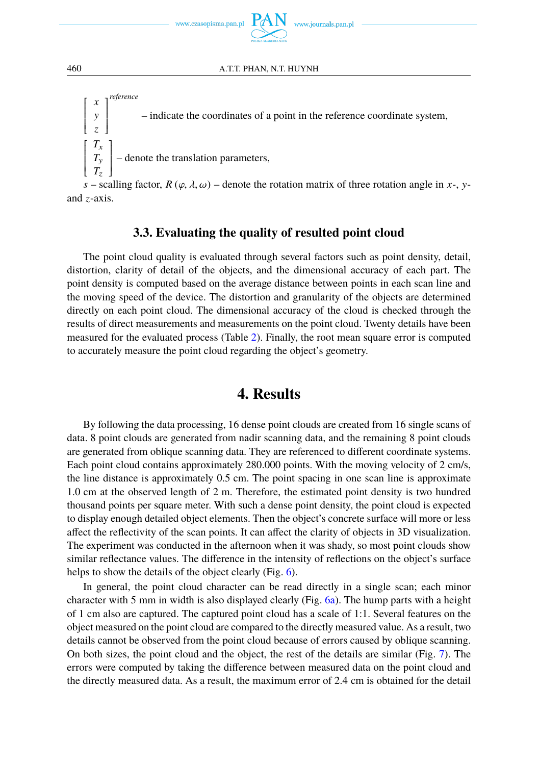

r ſ ł I I I L *x* y *z*  $\overline{1}$ 1  $\overline{\phantom{a}}$  $\overline{\phantom{a}}$  $\overline{\phantom{a}}$  $\overline{\phantom{a}}$ J *reference* – indicate the coordinates of a point in the reference coordinate system,  $\begin{bmatrix} 1 \\ 1 \\ 1 \end{bmatrix}$ L *T*x *T*y  $T_z$  $\begin{bmatrix} 1 \\ 1 \end{bmatrix}$ – denote the translation parameters,

*s* – scalling factor,  $R(\varphi, \lambda, \omega)$  – denote the rotation matrix of three rotation angle in *x*-, *y*and *z*-axis.

### **3.3. Evaluating the quality of resulted point cloud**

The point cloud quality is evaluated through several factors such as point density, detail, distortion, clarity of detail of the objects, and the dimensional accuracy of each part. The point density is computed based on the average distance between points in each scan line and the moving speed of the device. The distortion and granularity of the objects are determined directly on each point cloud. The dimensional accuracy of the cloud is checked through the results of direct measurements and measurements on the point cloud. Twenty details have been measured for the evaluated process (Table [2\)](#page-5-1). Finally, the root mean square error is computed to accurately measure the point cloud regarding the object's geometry.

## **4. Results**

By following the data processing, 16 dense point clouds are created from 16 single scans of data. 8 point clouds are generated from nadir scanning data, and the remaining 8 point clouds are generated from oblique scanning data. They are referenced to different coordinate systems. Each point cloud contains approximately 280.000 points. With the moving velocity of 2 cm/s, the line distance is approximately 0.5 cm. The point spacing in one scan line is approximate 1.0 cm at the observed length of 2 m. Therefore, the estimated point density is two hundred thousand points per square meter. With such a dense point density, the point cloud is expected to display enough detailed object elements. Then the object's concrete surface will more or less affect the reflectivity of the scan points. It can affect the clarity of objects in 3D visualization. The experiment was conducted in the afternoon when it was shady, so most point clouds show similar reflectance values. The difference in the intensity of reflections on the object's surface helps to show the details of the object clearly (Fig. [6\)](#page-10-0).

In general, the point cloud character can be read directly in a single scan; each minor character with 5 mm in width is also displayed clearly (Fig. [6a\)](#page-10-0). The hump parts with a height of 1 cm also are captured. The captured point cloud has a scale of 1:1. Several features on the object measured on the point cloud are compared to the directly measured value. As a result, two details cannot be observed from the point cloud because of errors caused by oblique scanning. On both sizes, the point cloud and the object, the rest of the details are similar (Fig. [7\)](#page-10-1). The errors were computed by taking the difference between measured data on the point cloud and the directly measured data. As a result, the maximum error of 2.4 cm is obtained for the detail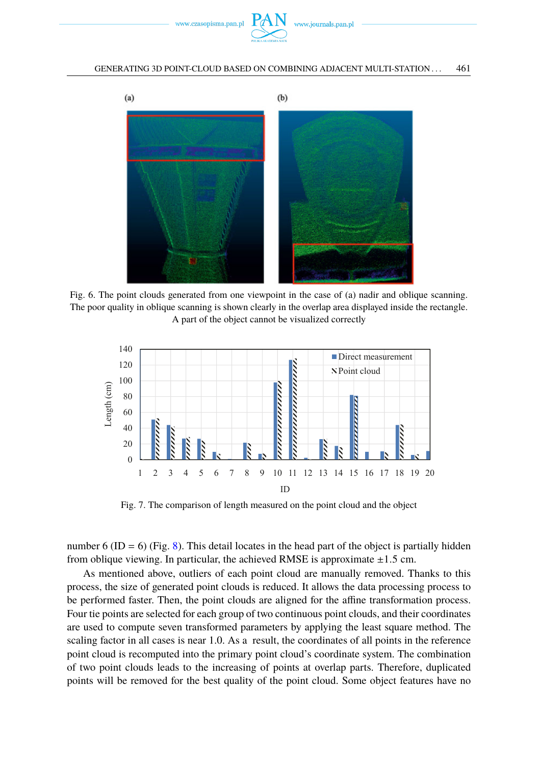

<span id="page-10-0"></span>

Fig. 6. The point clouds generated from one viewpoint in the case of (a) nadir and oblique scanning. The poor quality in oblique scanning is shown clearly in the overlap area displayed inside the rectangle. A part of the object cannot be visualized correctly

<span id="page-10-1"></span>

Fig. 7. The comparison of length measured on the point cloud and the object

number 6 (ID = 6) (Fig. [8\)](#page-11-0). This detail locates in the head part of the object is partially hidden from oblique viewing. In particular, the achieved RMSE is approximate  $\pm 1.5$  cm.

As mentioned above, outliers of each point cloud are manually removed. Thanks to this process, the size of generated point clouds is reduced. It allows the data processing process to be performed faster. Then, the point clouds are aligned for the affine transformation process. Four tie points are selected for each group of two continuous point clouds, and their coordinates are used to compute seven transformed parameters by applying the least square method. The scaling factor in all cases is near 1.0. As a result, the coordinates of all points in the reference point cloud is recomputed into the primary point cloud's coordinate system. The combination of two point clouds leads to the increasing of points at overlap parts. Therefore, duplicated points will be removed for the best quality of the point cloud. Some object features have no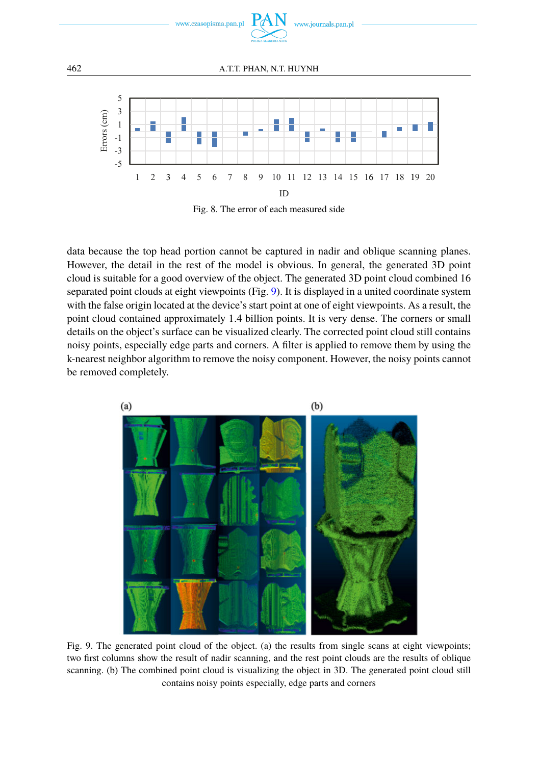

<span id="page-11-0"></span>

Fig. 8. The error of each measured side

data because the top head portion cannot be captured in nadir and oblique scanning planes. However, the detail in the rest of the model is obvious. In general, the generated 3D point cloud is suitable for a good overview of the object. The generated 3D point cloud combined 16 separated point clouds at eight viewpoints (Fig. [9\)](#page-11-1). It is displayed in a united coordinate system with the false origin located at the device's start point at one of eight viewpoints. As a result, the point cloud contained approximately 1.4 billion points. It is very dense. The corners or small details on the object's surface can be visualized clearly. The corrected point cloud still contains noisy points, especially edge parts and corners. A filter is applied to remove them by using the k-nearest neighbor algorithm to remove the noisy component. However, the noisy points cannot be removed completely.

<span id="page-11-1"></span>

Fig. 9. The generated point cloud of the object. (a) the results from single scans at eight viewpoints; two first columns show the result of nadir scanning, and the rest point clouds are the results of oblique scanning. (b) The combined point cloud is visualizing the object in 3D. The generated point cloud still contains noisy points especially, edge parts and corners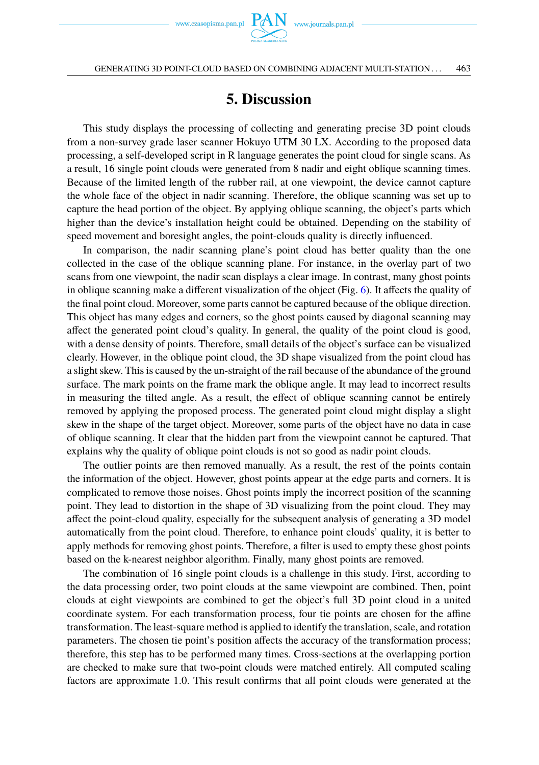

GENERATING 3D POINT-CLOUD BASED ON COMBINING ADJACENT MULTI-STATION . . . 463

# **5. Discussion**

This study displays the processing of collecting and generating precise 3D point clouds from a non-survey grade laser scanner Hokuyo UTM 30 LX. According to the proposed data processing, a self-developed script in R language generates the point cloud for single scans. As a result, 16 single point clouds were generated from 8 nadir and eight oblique scanning times. Because of the limited length of the rubber rail, at one viewpoint, the device cannot capture the whole face of the object in nadir scanning. Therefore, the oblique scanning was set up to capture the head portion of the object. By applying oblique scanning, the object's parts which higher than the device's installation height could be obtained. Depending on the stability of speed movement and boresight angles, the point-clouds quality is directly influenced.

In comparison, the nadir scanning plane's point cloud has better quality than the one collected in the case of the oblique scanning plane. For instance, in the overlay part of two scans from one viewpoint, the nadir scan displays a clear image. In contrast, many ghost points in oblique scanning make a different visualization of the object (Fig. [6\)](#page-10-0). It affects the quality of the final point cloud. Moreover, some parts cannot be captured because of the oblique direction. This object has many edges and corners, so the ghost points caused by diagonal scanning may affect the generated point cloud's quality. In general, the quality of the point cloud is good, with a dense density of points. Therefore, small details of the object's surface can be visualized clearly. However, in the oblique point cloud, the 3D shape visualized from the point cloud has a slight skew. This is caused by the un-straight of the rail because of the abundance of the ground surface. The mark points on the frame mark the oblique angle. It may lead to incorrect results in measuring the tilted angle. As a result, the effect of oblique scanning cannot be entirely removed by applying the proposed process. The generated point cloud might display a slight skew in the shape of the target object. Moreover, some parts of the object have no data in case of oblique scanning. It clear that the hidden part from the viewpoint cannot be captured. That explains why the quality of oblique point clouds is not so good as nadir point clouds.

The outlier points are then removed manually. As a result, the rest of the points contain the information of the object. However, ghost points appear at the edge parts and corners. It is complicated to remove those noises. Ghost points imply the incorrect position of the scanning point. They lead to distortion in the shape of 3D visualizing from the point cloud. They may affect the point-cloud quality, especially for the subsequent analysis of generating a 3D model automatically from the point cloud. Therefore, to enhance point clouds' quality, it is better to apply methods for removing ghost points. Therefore, a filter is used to empty these ghost points based on the k-nearest neighbor algorithm. Finally, many ghost points are removed.

The combination of 16 single point clouds is a challenge in this study. First, according to the data processing order, two point clouds at the same viewpoint are combined. Then, point clouds at eight viewpoints are combined to get the object's full 3D point cloud in a united coordinate system. For each transformation process, four tie points are chosen for the affine transformation. The least-square method is applied to identify the translation, scale, and rotation parameters. The chosen tie point's position affects the accuracy of the transformation process; therefore, this step has to be performed many times. Cross-sections at the overlapping portion are checked to make sure that two-point clouds were matched entirely. All computed scaling factors are approximate 1.0. This result confirms that all point clouds were generated at the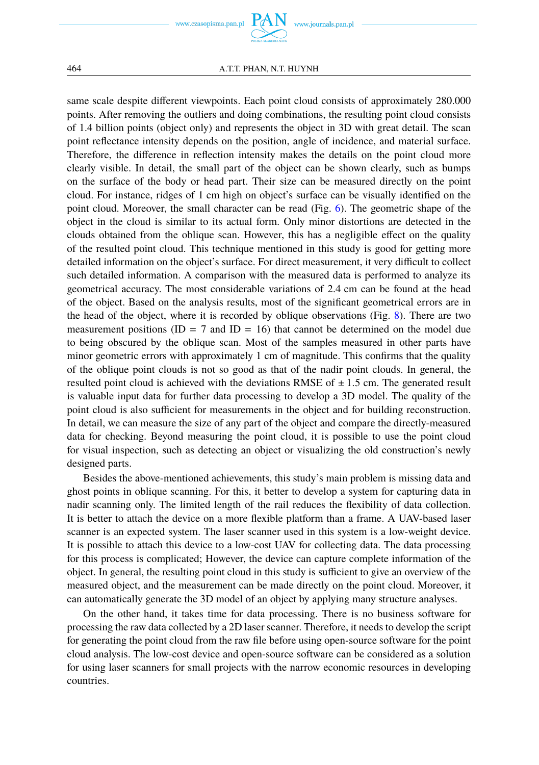www.czasopisma.pan.pl

www.journals.pan.pl

464 A.T.T. PHAN, N.T. HUYNH

same scale despite different viewpoints. Each point cloud consists of approximately 280.000 points. After removing the outliers and doing combinations, the resulting point cloud consists of 1.4 billion points (object only) and represents the object in 3D with great detail. The scan point reflectance intensity depends on the position, angle of incidence, and material surface. Therefore, the difference in reflection intensity makes the details on the point cloud more clearly visible. In detail, the small part of the object can be shown clearly, such as bumps on the surface of the body or head part. Their size can be measured directly on the point cloud. For instance, ridges of 1 cm high on object's surface can be visually identified on the point cloud. Moreover, the small character can be read (Fig. [6\)](#page-10-0). The geometric shape of the object in the cloud is similar to its actual form. Only minor distortions are detected in the clouds obtained from the oblique scan. However, this has a negligible effect on the quality of the resulted point cloud. This technique mentioned in this study is good for getting more detailed information on the object's surface. For direct measurement, it very difficult to collect such detailed information. A comparison with the measured data is performed to analyze its geometrical accuracy. The most considerable variations of 2.4 cm can be found at the head of the object. Based on the analysis results, most of the significant geometrical errors are in the head of the object, where it is recorded by oblique observations (Fig. [8\)](#page-11-0). There are two measurement positions (ID =  $7$  and ID = 16) that cannot be determined on the model due to being obscured by the oblique scan. Most of the samples measured in other parts have minor geometric errors with approximately 1 cm of magnitude. This confirms that the quality of the oblique point clouds is not so good as that of the nadir point clouds. In general, the resulted point cloud is achieved with the deviations RMSE of  $\pm$  1.5 cm. The generated result is valuable input data for further data processing to develop a 3D model. The quality of the point cloud is also sufficient for measurements in the object and for building reconstruction. In detail, we can measure the size of any part of the object and compare the directly-measured data for checking. Beyond measuring the point cloud, it is possible to use the point cloud for visual inspection, such as detecting an object or visualizing the old construction's newly designed parts.

Besides the above-mentioned achievements, this study's main problem is missing data and ghost points in oblique scanning. For this, it better to develop a system for capturing data in nadir scanning only. The limited length of the rail reduces the flexibility of data collection. It is better to attach the device on a more flexible platform than a frame. A UAV-based laser scanner is an expected system. The laser scanner used in this system is a low-weight device. It is possible to attach this device to a low-cost UAV for collecting data. The data processing for this process is complicated; However, the device can capture complete information of the object. In general, the resulting point cloud in this study is sufficient to give an overview of the measured object, and the measurement can be made directly on the point cloud. Moreover, it can automatically generate the 3D model of an object by applying many structure analyses.

On the other hand, it takes time for data processing. There is no business software for processing the raw data collected by a 2D laser scanner. Therefore, it needs to develop the script for generating the point cloud from the raw file before using open-source software for the point cloud analysis. The low-cost device and open-source software can be considered as a solution for using laser scanners for small projects with the narrow economic resources in developing countries.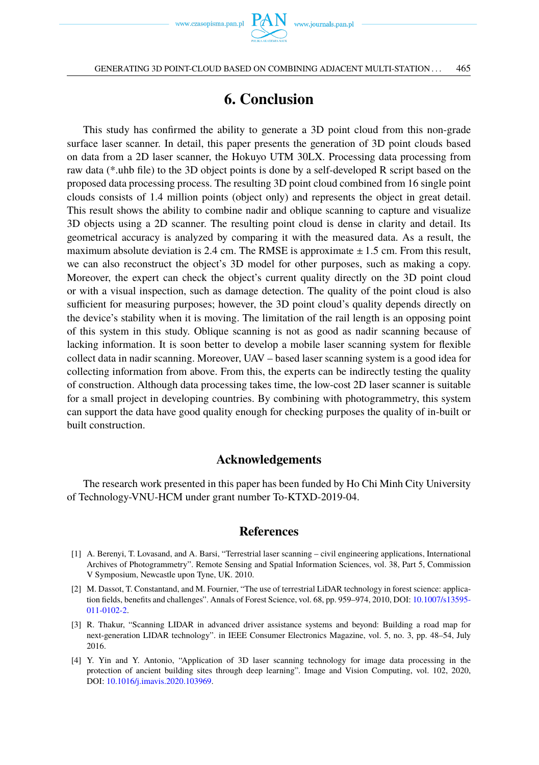

# **6. Conclusion**

This study has confirmed the ability to generate a 3D point cloud from this non-grade surface laser scanner. In detail, this paper presents the generation of 3D point clouds based on data from a 2D laser scanner, the Hokuyo UTM 30LX. Processing data processing from raw data (\*.uhb file) to the 3D object points is done by a self-developed R script based on the proposed data processing process. The resulting 3D point cloud combined from 16 single point clouds consists of 1.4 million points (object only) and represents the object in great detail. This result shows the ability to combine nadir and oblique scanning to capture and visualize 3D objects using a 2D scanner. The resulting point cloud is dense in clarity and detail. Its geometrical accuracy is analyzed by comparing it with the measured data. As a result, the maximum absolute deviation is 2.4 cm. The RMSE is approximate  $\pm$  1.5 cm. From this result, we can also reconstruct the object's 3D model for other purposes, such as making a copy. Moreover, the expert can check the object's current quality directly on the 3D point cloud or with a visual inspection, such as damage detection. The quality of the point cloud is also sufficient for measuring purposes; however, the 3D point cloud's quality depends directly on the device's stability when it is moving. The limitation of the rail length is an opposing point of this system in this study. Oblique scanning is not as good as nadir scanning because of lacking information. It is soon better to develop a mobile laser scanning system for flexible collect data in nadir scanning. Moreover, UAV – based laser scanning system is a good idea for collecting information from above. From this, the experts can be indirectly testing the quality of construction. Although data processing takes time, the low-cost 2D laser scanner is suitable for a small project in developing countries. By combining with photogrammetry, this system can support the data have good quality enough for checking purposes the quality of in-built or built construction.

### **Acknowledgements**

The research work presented in this paper has been funded by Ho Chi Minh City University of Technology-VNU-HCM under grant number To-KTXD-2019-04.

### <span id="page-14-0"></span>**References**

- <span id="page-14-1"></span>[1] A. Berenyi, T. Lovasand, and A. Barsi, "Terrestrial laser scanning – civil engineering applications, International Archives of Photogrammetry". Remote Sensing and Spatial Information Sciences, vol. 38, Part 5, Commission V Symposium, Newcastle upon Tyne, UK. 2010.
- [2] M. Dassot, T. Constantand, and M. Fournier, "The use of terrestrial LiDAR technology in forest science: application fields, benefits and challenges". Annals of Forest Science, vol. 68, pp. 959–974, 2010, DOI: [10.1007/s13595-](https://doi.org/10.1007/s13595-011-0102-2) [011-0102-2.](https://doi.org/10.1007/s13595-011-0102-2)
- [3] R. Thakur, "Scanning LIDAR in advanced driver assistance systems and beyond: Building a road map for next-generation LIDAR technology". in IEEE Consumer Electronics Magazine, vol. 5, no. 3, pp. 48–54, July 2016.
- <span id="page-14-2"></span>[4] Y. Yin and Y. Antonio, "Application of 3D laser scanning technology for image data processing in the protection of ancient building sites through deep learning". Image and Vision Computing, vol. 102, 2020, DOI: [10.1016/j.imavis.2020.103969.](https://doi.org/10.1016/j.imavis.2020.103969)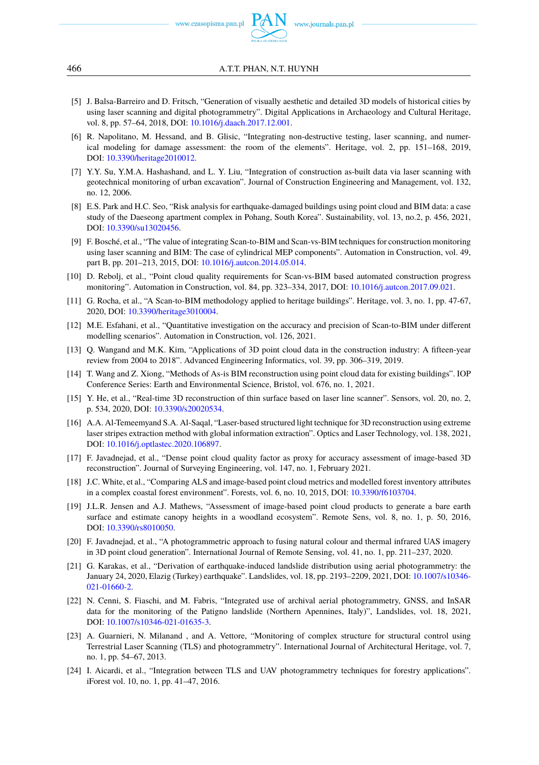www.czasopisma.pan.pl

- <span id="page-15-0"></span>[5] J. Balsa-Barreiro and D. Fritsch, "Generation of visually aesthetic and detailed 3D models of historical cities by using laser scanning and digital photogrammetry". Digital Applications in Archaeology and Cultural Heritage, vol. 8, pp. 57–64, 2018, DOI: [10.1016/j.daach.2017.12.001.](https://doi.org/10.1016/j.daach.2017.12.001)
- <span id="page-15-1"></span>[6] R. Napolitano, M. Hessand, and B. Glisic, "Integrating non-destructive testing, laser scanning, and numerical modeling for damage assessment: the room of the elements". Heritage, vol. 2, pp. 151–168, 2019, DOI: [10.3390/heritage2010012.](https://doi.org/10.3390/heritage2010012)
- <span id="page-15-2"></span>[7] Y.Y. Su, Y.M.A. Hashashand, and L. Y. Liu, "Integration of construction as-built data via laser scanning with geotechnical monitoring of urban excavation". Journal of Construction Engineering and Management, vol. 132, no. 12, 2006.
- <span id="page-15-3"></span>[8] E.S. Park and H.C. Seo, "Risk analysis for earthquake-damaged buildings using point cloud and BIM data: a case study of the Daeseong apartment complex in Pohang, South Korea". Sustainability, vol. 13, no.2, p. 456, 2021, DOI: [10.3390/su13020456.](https://doi.org/10.3390/su13020456)
- <span id="page-15-4"></span>[9] F. Bosché, et al., "The value of integrating Scan-to-BIM and Scan-vs-BIM techniques for construction monitoring using laser scanning and BIM: The case of cylindrical MEP components". Automation in Construction, vol. 49, part B, pp. 201–213, 2015, DOI: [10.1016/j.autcon.2014.05.014.](https://doi.org/10.1016/j.autcon.2014.05.014)
- [10] D. Rebolj, et al., "Point cloud quality requirements for Scan-vs-BIM based automated construction progress monitoring". Automation in Construction, vol. 84, pp. 323–334, 2017, DOI: [10.1016/j.autcon.2017.09.021.](https://doi.org/10.1016/j.autcon.2017.09.021)
- [11] G. Rocha, et al., "A Scan-to-BIM methodology applied to heritage buildings". Heritage, vol. 3, no. 1, pp. 47-67, 2020, DOI: [10.3390/heritage3010004.](https://doi.org/10.3390/heritage3010004)
- <span id="page-15-5"></span>[12] M.E. Esfahani, et al., "Quantitative investigation on the accuracy and precision of Scan-to-BIM under different modelling scenarios". Automation in Construction, vol. 126, 2021.
- <span id="page-15-6"></span>[13] Q. Wangand and M.K. Kim, "Applications of 3D point cloud data in the construction industry: A fifteen-year review from 2004 to 2018". Advanced Engineering Informatics, vol. 39, pp. 306–319, 2019.
- <span id="page-15-7"></span>[14] T. Wang and Z. Xiong, "Methods of As-is BIM reconstruction using point cloud data for existing buildings". IOP Conference Series: Earth and Environmental Science, Bristol, vol. 676, no. 1, 2021.
- <span id="page-15-8"></span>[15] Y. He, et al., "Real-time 3D reconstruction of thin surface based on laser line scanner". Sensors, vol. 20, no. 2, p. 534, 2020, DOI: [10.3390/s20020534.](https://doi.org/10.3390/s20020534)
- <span id="page-15-9"></span>[16] A.A. Al-Temeemyand S.A. Al-Saqal, "Laser-based structured light technique for 3D reconstruction using extreme laser stripes extraction method with global information extraction". Optics and Laser Technology, vol. 138, 2021, DOI: [10.1016/j.optlastec.2020.106897.](https://doi.org/10.1016/j.optlastec.2020.106897)
- [17] F. Javadnejad, et al., "Dense point cloud quality factor as proxy for accuracy assessment of image-based 3D reconstruction". Journal of Surveying Engineering, vol. 147, no. 1, February 2021.
- <span id="page-15-10"></span>[18] J.C. White, et al., "Comparing ALS and image-based point cloud metrics and modelled forest inventory attributes in a complex coastal forest environment". Forests, vol. 6, no. 10, 2015, DOI: [10.3390/f6103704.](https://doi.org/10.3390/f6103704)
- [19] J.L.R. Jensen and A.J. Mathews, "Assessment of image-based point cloud products to generate a bare earth surface and estimate canopy heights in a woodland ecosystem". Remote Sens, vol. 8, no. 1, p. 50, 2016, DOI: [10.3390/rs8010050.](https://doi.org/10.3390/rs8010050)
- [20] F. Javadnejad, et al., "A photogrammetric approach to fusing natural colour and thermal infrared UAS imagery in 3D point cloud generation". International Journal of Remote Sensing, vol. 41, no. 1, pp. 211–237, 2020.
- [21] G. Karakas, et al., "Derivation of earthquake-induced landslide distribution using aerial photogrammetry: the January 24, 2020, Elazig (Turkey) earthquake". Landslides, vol. 18, pp. 2193–2209, 2021, DOI: [10.1007/s10346-](https://doi.org/10.1007/s10346-021-01660-2) [021-01660-2.](https://doi.org/10.1007/s10346-021-01660-2)
- <span id="page-15-11"></span>[22] N. Cenni, S. Fiaschi, and M. Fabris, "Integrated use of archival aerial photogrammetry, GNSS, and InSAR data for the monitoring of the Patigno landslide (Northern Apennines, Italy)", Landslides, vol. 18, 2021, DOI: [10.1007/s10346-021-01635-3.](https://doi.org/10.1007/s10346-021-01635-3)
- <span id="page-15-12"></span>[23] A. Guarnieri, N. Milanand , and A. Vettore, "Monitoring of complex structure for structural control using Terrestrial Laser Scanning (TLS) and photogrammetry". International Journal of Architectural Heritage, vol. 7, no. 1, pp. 54–67, 2013.
- [24] I. Aicardi, et al., "Integration between TLS and UAV photogrammetry techniques for forestry applications". iForest vol. 10, no. 1, pp. 41–47, 2016.